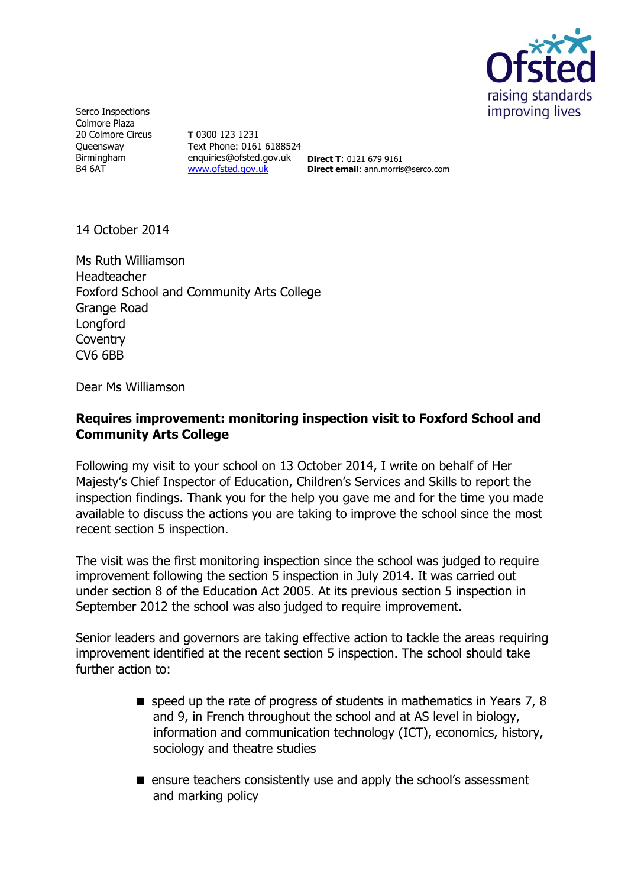

Serco Inspections Colmore Plaza 20 Colmore Circus **Oueensway** Birmingham B4 6AT

**T** 0300 123 1231 Text Phone: 0161 6188524 enquiries@ofsted.gov.uk **Direct T**: 0121 679 9161 [www.ofsted.gov.uk](http://www.ofsted.gov.uk/)

**Direct email**: ann.morris@serco.com

14 October 2014

Ms Ruth Williamson Headteacher Foxford School and Community Arts College Grange Road Longford **Coventry** CV6 6BB

Dear Ms Williamson

### **Requires improvement: monitoring inspection visit to Foxford School and Community Arts College**

Following my visit to your school on 13 October 2014, I write on behalf of Her Majesty's Chief Inspector of Education, Children's Services and Skills to report the inspection findings. Thank you for the help you gave me and for the time you made available to discuss the actions you are taking to improve the school since the most recent section 5 inspection.

The visit was the first monitoring inspection since the school was judged to require improvement following the section 5 inspection in July 2014. It was carried out under section 8 of the Education Act 2005. At its previous section 5 inspection in September 2012 the school was also judged to require improvement.

Senior leaders and governors are taking effective action to tackle the areas requiring improvement identified at the recent section 5 inspection. The school should take further action to:

- $\blacksquare$  speed up the rate of progress of students in mathematics in Years 7, 8 and 9, in French throughout the school and at AS level in biology, information and communication technology (ICT), economics, history, sociology and theatre studies
- ensure teachers consistently use and apply the school's assessment and marking policy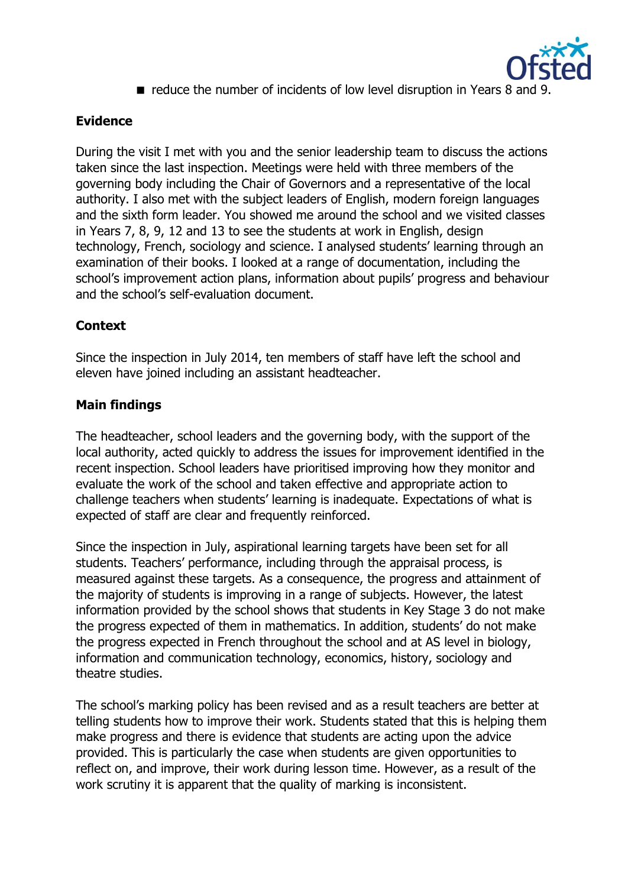

reduce the number of incidents of low level disruption in Years 8 and 9.

# **Evidence**

During the visit I met with you and the senior leadership team to discuss the actions taken since the last inspection. Meetings were held with three members of the governing body including the Chair of Governors and a representative of the local authority. I also met with the subject leaders of English, modern foreign languages and the sixth form leader. You showed me around the school and we visited classes in Years 7, 8, 9, 12 and 13 to see the students at work in English, design technology, French, sociology and science. I analysed students' learning through an examination of their books. I looked at a range of documentation, including the school's improvement action plans, information about pupils' progress and behaviour and the school's self-evaluation document.

## **Context**

Since the inspection in July 2014, ten members of staff have left the school and eleven have joined including an assistant headteacher.

### **Main findings**

The headteacher, school leaders and the governing body, with the support of the local authority, acted quickly to address the issues for improvement identified in the recent inspection. School leaders have prioritised improving how they monitor and evaluate the work of the school and taken effective and appropriate action to challenge teachers when students' learning is inadequate. Expectations of what is expected of staff are clear and frequently reinforced.

Since the inspection in July, aspirational learning targets have been set for all students. Teachers' performance, including through the appraisal process, is measured against these targets. As a consequence, the progress and attainment of the majority of students is improving in a range of subjects. However, the latest information provided by the school shows that students in Key Stage 3 do not make the progress expected of them in mathematics. In addition, students' do not make the progress expected in French throughout the school and at AS level in biology, information and communication technology, economics, history, sociology and theatre studies.

The school's marking policy has been revised and as a result teachers are better at telling students how to improve their work. Students stated that this is helping them make progress and there is evidence that students are acting upon the advice provided. This is particularly the case when students are given opportunities to reflect on, and improve, their work during lesson time. However, as a result of the work scrutiny it is apparent that the quality of marking is inconsistent.